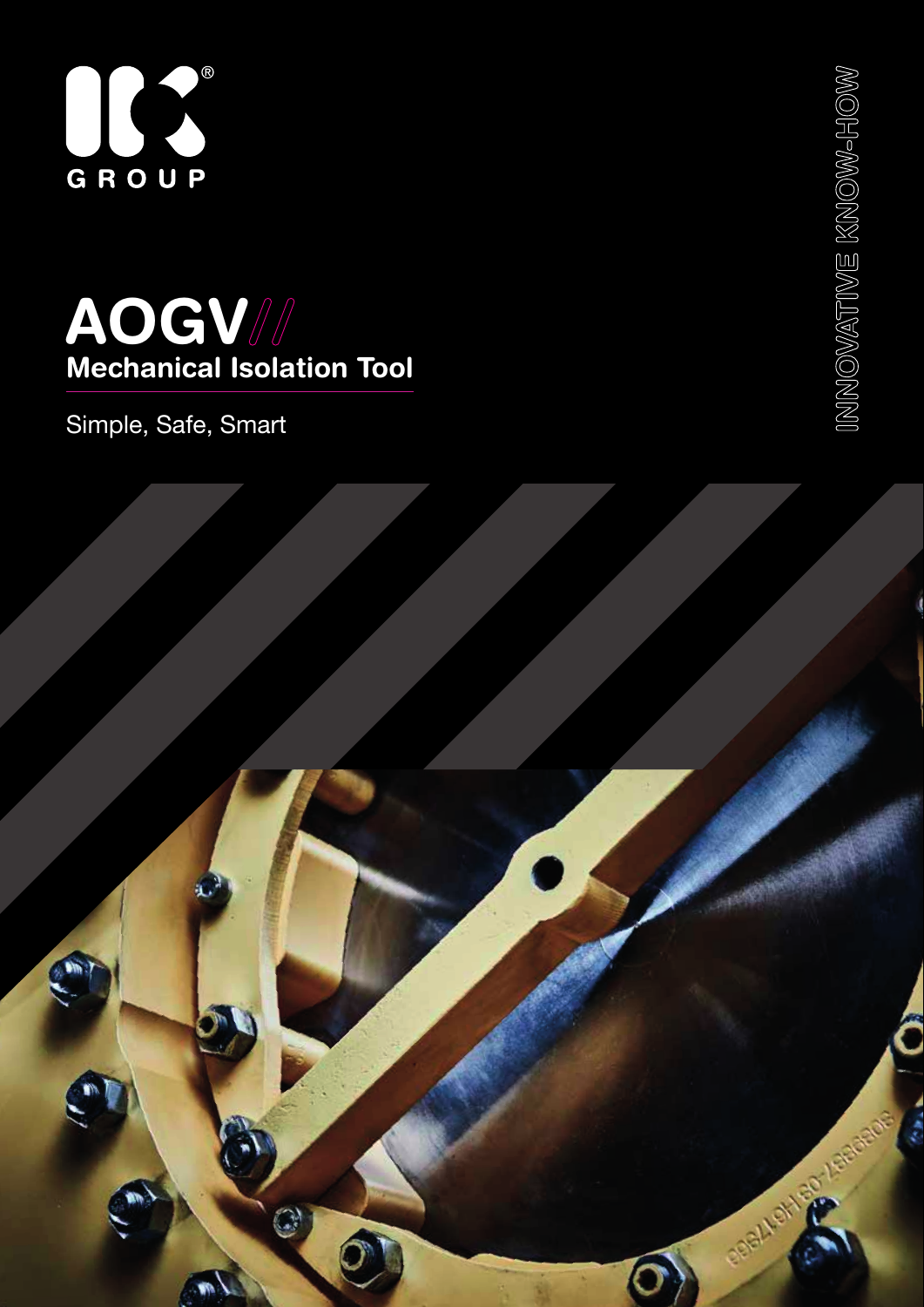



Simple, Safe, Smart



INNOVATIVE KNOW-HOW INNOVATIVE KNOW-HOW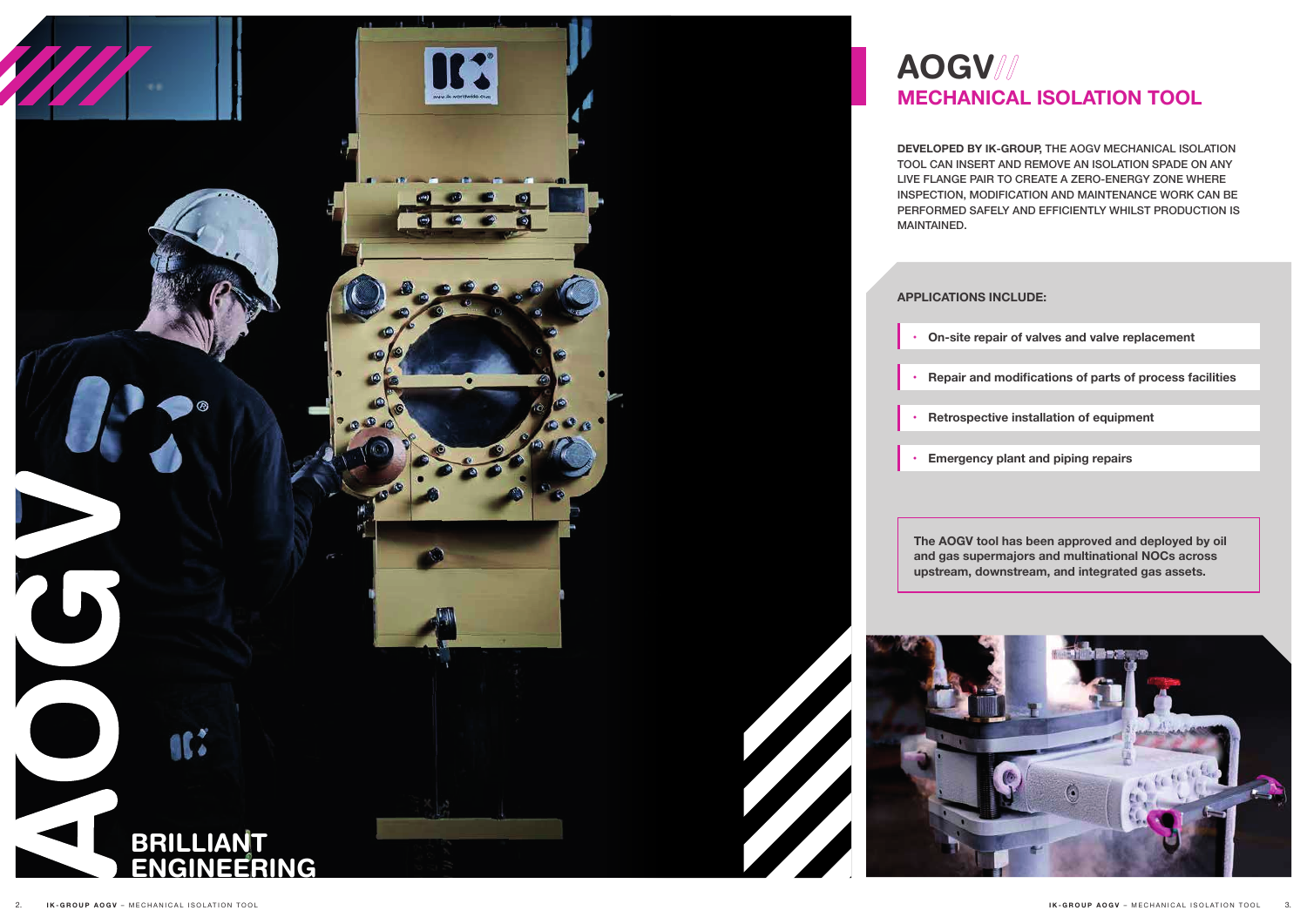

# **MECHANICAL ISOLATION TOOL**

**DEVELOPED BY IK-GROUP,** THE AOGV MECHANICAL ISOLATION TOOL CAN INSERT AND REMOVE AN ISOLATION SPADE ON ANY LIVE FLANGE PAIR TO CREATE A ZERO-ENERGY ZONE WHERE INSPECTION, MODIFICATION AND MAINTENANCE WORK CAN BE PERFORMED SAFELY AND EFFICIENTLY WHILST PRODUCTION IS

**The AOGV tool has been approved and deployed by oil and gas supermajors and multinational NOCs across upstream, downstream, and integrated gas assets.** 



**• On-site repair of valves and valve replacement**

**• Repair and modifications of parts of process facilities**

**• Retrospective installation of equipment**

**• Emergency plant and piping repairs**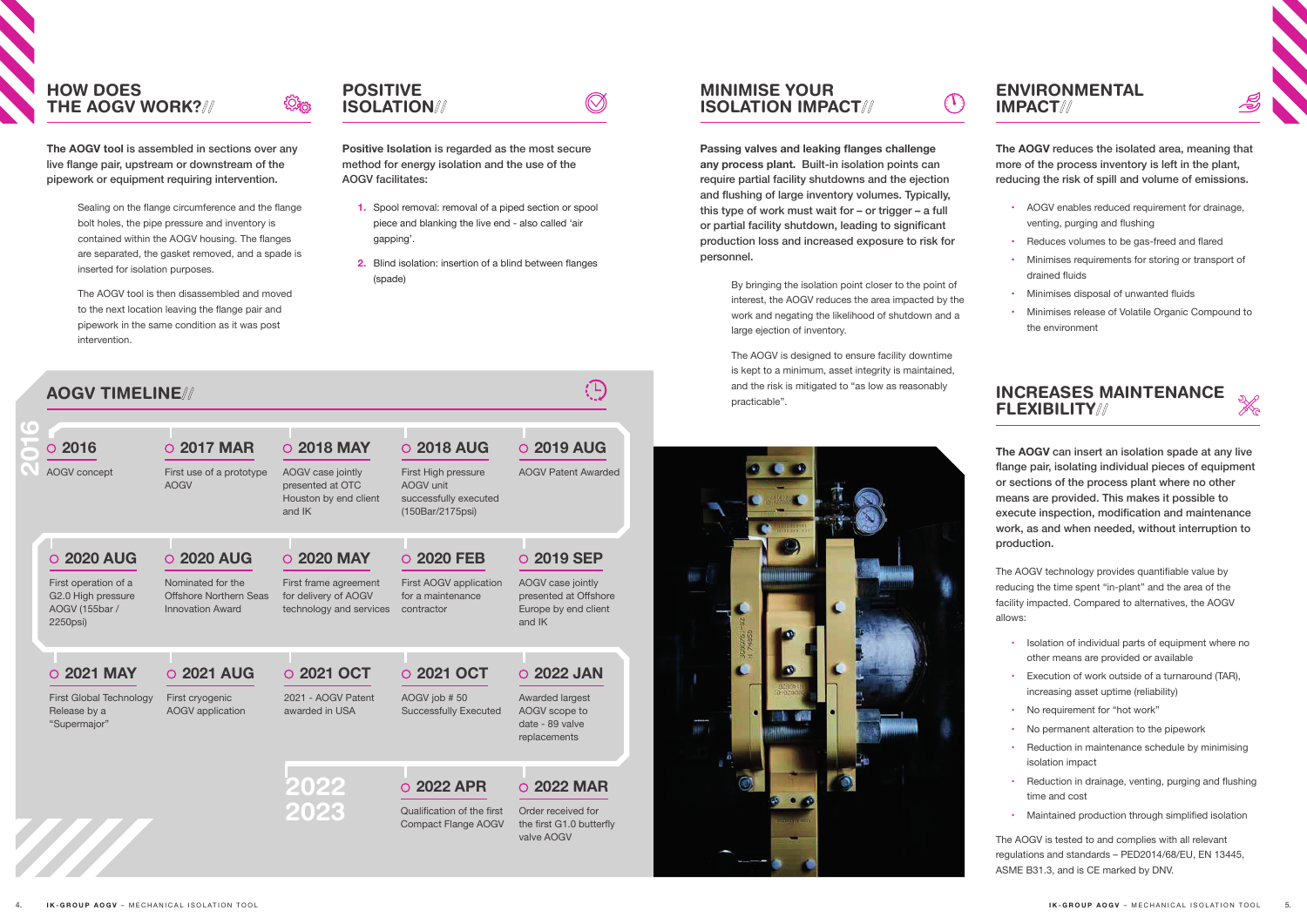# MINIMISE YOUR ISOLATION IMPACT//

**Passing valves and leaking flanges challenge any process plant.** Built-in isolation points can require partial facility shutdowns and the ejection and flushing of large inventory volumes. Typically, this type of work must wait for – or trigger – a full or partial facility shutdown, leading to significant production loss and increased exposure to risk for personnel.

> By bringing the isolation point closer to the point of interest, the AOGV reduces the area impacted by the work and negating the likelihood of shutdown and a large ejection of inventory.

The AOGV is designed to ensure facility downtime is kept to a minimum, asset integrity is maintained, and the risk is mitigated to "as low as reasonably practicable".



## POSITIVE ISOLATION//

<u>र्ट्रिक</u>

**Positive Isolation** is regarded as the most secure method for energy isolation and the use of the AOGV facilitates:

 $\oslash$ 

- **1.** Spool removal: removal of a piped section or spool piece and blanking the live end - also called 'air gapping'.
- **2.** Blind isolation: insertion of a blind between flanges (spade)

## HOW DOES THE AOGV WORK?//

**The AOGV tool** is assembled in sections over any live flange pair, upstream or downstream of the pipework or equipment requiring intervention.

- Isolation of individual parts of equipment where no other means are provided or available
- Execution of work outside of a turnaround (TAR), increasing asset uptime (reliability)
- No requirement for "hot work"
- No permanent alteration to the pipework
- Reduction in maintenance schedule by minimising isolation impact
- Reduction in drainage, venting, purging and flushing time and cost
- Maintained production through simplified isolation

Sealing on the flange circumference and the flange bolt holes, the pipe pressure and inventory is contained within the AOGV housing. The flanges are separated, the gasket removed, and a spade is inserted for isolation purposes.

The AOGV tool is then disassembled and moved to the next location leaving the flange pair and pipework in the same condition as it was post intervention.

## ENVIRONMENTAL IMPACT//

 $(\mathbb{T})$ 



**The AOGV** reduces the isolated area, meaning that more of the process inventory is left in the plant, reducing the risk of spill and volume of emissions.

- AOGV enables reduced requirement for drainage, venting, purging and flushing
- Reduces volumes to be gas-freed and flared
- Minimises requirements for storing or transport of drained fluids
- Minimises disposal of unwanted fluids
- Minimises release of Volatile Organic Compound to the environment

## INCREASES MAINTENANCE FLEXIBILITY//



**The AOGV** can insert an isolation spade at any live flange pair, isolating individual pieces of equipment or sections of the process plant where no other means are provided. This makes it possible to execute inspection, modification and maintenance work, as and when needed, without interruption to production.

The AOGV technology provides quantifiable value by reducing the time spent "in-plant" and the area of the facility impacted. Compared to alternatives, the AOGV allows:

| $\circ$ 2016                                                             | O 2017 MAR                                                             | O 2018 MAY                                                               | O 2018 AUG                                                                    | O 2019 AUG                                                                   |
|--------------------------------------------------------------------------|------------------------------------------------------------------------|--------------------------------------------------------------------------|-------------------------------------------------------------------------------|------------------------------------------------------------------------------|
| AOGV concept                                                             | First use of a prototype<br><b>AOGV</b>                                | AOGV case jointly<br>presented at OTC<br>Houston by end client<br>and IK | First High pressure<br>AOGV unit<br>successfully executed<br>(150Bar/2175psi) | <b>AOGV Patent Awarded</b>                                                   |
| <b>2020 AUG</b>                                                          | O 2020 AUG                                                             | O 2020 MAY                                                               | O 2020 FEB                                                                    | O 2019 SEP                                                                   |
| First operation of a<br>G2.0 High pressure<br>AOGV (155bar /<br>2250psi) | Nominated for the<br>Offshore Northern Seas<br><b>Innovation Award</b> | First frame agreement<br>for delivery of AOGV<br>technology and services | First AOGV application<br>for a maintenance<br>contractor                     | AOGV case jointly<br>presented at Offshore<br>Europe by end client<br>and IK |
|                                                                          |                                                                        |                                                                          |                                                                               |                                                                              |
| <b>2021 MAY</b><br>$\Omega$                                              | O 2021 AUG                                                             | O 2021 OCT                                                               | O 2021 OCT                                                                    | O 2022 JAN                                                                   |
| First Global Technology<br>Release by a<br>"Supermajor"                  | First cryogenic<br><b>AOGV</b> application                             | 2021 - AOGV Patent<br>awarded in USA                                     | AOGV job #50<br><b>Successfully Executed</b>                                  | Awarded largest<br>AOGV scope to<br>date - 89 valve<br>replacements          |
|                                                                          |                                                                        | 2022                                                                     | O 2022 APR                                                                    | <b>2022 MAR</b><br>$\circ$                                                   |
|                                                                          |                                                                        | 2023                                                                     | Qualification of the first<br><b>Compact Flange AOGV</b>                      | Order received for<br>the first G1.0 butterfly<br>valve AOGV                 |

The AOGV is tested to and complies with all relevant regulations and standards – PED2014/68/EU, EN 13445, ASME B31.3, and is CE marked by DNV.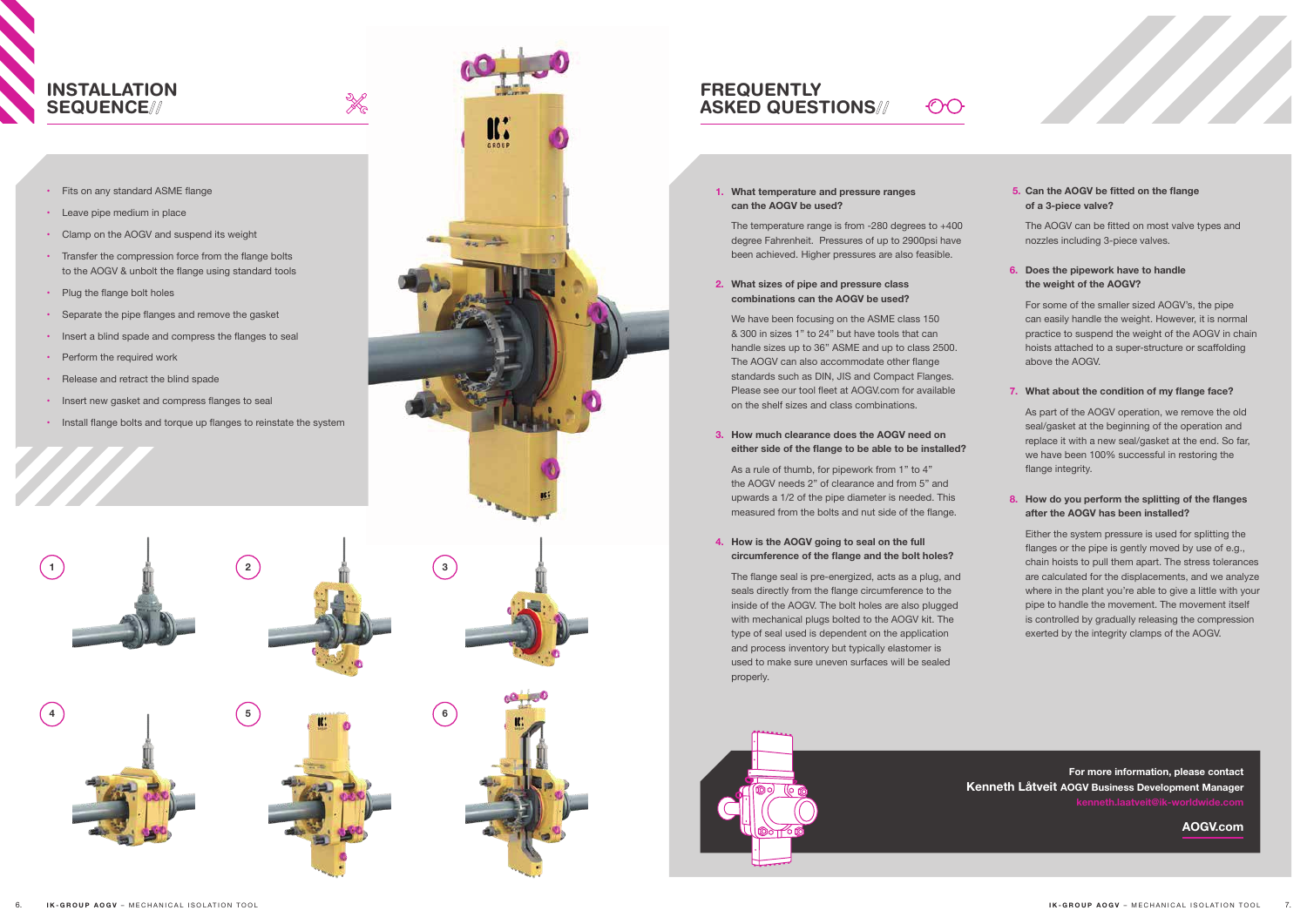#### **1. What temperature and pressure ranges can the AOGV be used?**

The temperature range is from -280 degrees to +400 degree Fahrenheit. Pressures of up to 2900psi have been achieved. Higher pressures are also feasible.

 $\bigcap$ 

#### **2. What sizes of pipe and pressure class combinations can the AOGV be used?**

We have been focusing on the ASME class 150 & 300 in sizes 1" to 24" but have tools that can handle sizes up to 36" ASME and up to class 2500. The AOGV can also accommodate other flange standards such as DIN, JIS and Compact Flanges. Please see our tool fleet at AOGV.com for available on the shelf sizes and class combinations.

#### **3. How much clearance does the AOGV need on either side of the flange to be able to be installed?**

As a rule of thumb, for pipework from 1" to 4" the AOGV needs 2" of clearance and from 5" and upwards a 1/2 of the pipe diameter is needed. This measured from the bolts and nut side of the flange.

#### **4. How is the AOGV going to seal on the full circumference of the flange and the bolt holes?**

 The flange seal is pre-energized, acts as a plug, and seals directly from the flange circumference to the inside of the AOGV. The bolt holes are also plugged with mechanical plugs bolted to the AOGV kit. The type of seal used is dependent on the application and process inventory but typically elastomer is used to make sure uneven surfaces will be sealed properly.



### **FREQUENTLY** ASKED QUESTIONS//

#### **5. Can the AOGV be fitted on the flange of a 3-piece valve?**

 The AOGV can be fitted on most valve types and nozzles including 3-piece valves.

- Fits on any standard ASME flange
- Leave pipe medium in place
- Clamp on the AOGV and suspend its weight
- Transfer the compression force from the flange bolts to the AOGV & unbolt the flange using standard tools

X

- Plug the flange bolt holes
- • Separate the pipe flanges and remove the gasket
- Insert a blind spade and compress the flanges to seal
- Perform the required work
- Release and retract the blind spade
- Insert new gasket and compress flanges to seal
- Install flange bolts and torque up flanges to reinstate the system

#### **6. Does the pipework have to handle the weight of the AOGV?**

For some of the smaller sized AOGV's, the pipe can easily handle the weight. However, it is normal practice to suspend the weight of the AOGV in chain hoists attached to a super-structure or scaffolding above the AOGV.

#### **7. What about the condition of my flange face?**

As part of the AOGV operation, we remove the old seal/gasket at the beginning of the operation and replace it with a new seal/gasket at the end. So far, we have been 100% successful in restoring the flange integrity.

#### **8. How do you perform the splitting of the flanges after the AOGV has been installed?**

Either the system pressure is used for splitting the flanges or the pipe is gently moved by use of e.g., chain hoists to pull them apart. The stress tolerances are calculated for the displacements, and we analyze where in the plant you're able to give a little with your pipe to handle the movement. The movement itself is controlled by gradually releasing the compression exerted by the integrity clamps of the AOGV.

## INSTALLATION SEQUENCE//

**For more information, please contact Kenneth Låtveit AOGV Business Development Manager**

**AOGV.com**